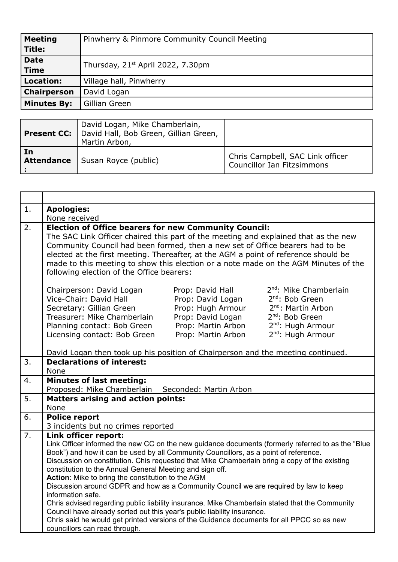| <b>Meeting</b>     | Pinwherry & Pinmore Community Council Meeting |
|--------------------|-----------------------------------------------|
| <b>Title:</b>      |                                               |
| <b>Date</b>        | Thursday, 21 <sup>st</sup> April 2022, 7.30pm |
| <b>Time</b>        |                                               |
| <b>Location:</b>   | Village hall, Pinwherry                       |
| Chairperson        | David Logan                                   |
| <b>Minutes By:</b> | Gillian Green                                 |
|                    |                                               |

|                         | David Logan, Mike Chamberlain,<br>Present CC: David Hall, Bob Green, Gillian Green,<br>Martin Arbon, |                                                                |
|-------------------------|------------------------------------------------------------------------------------------------------|----------------------------------------------------------------|
| In<br><b>Attendance</b> | Susan Royce (public)                                                                                 | Chris Campbell, SAC Link officer<br>Councillor Ian Fitzsimmons |

| 1. | <b>Apologies:</b>                                                                                                                                                                                                                                                                                                                                                                                                                                                                                                                                                                                                                                                                                                                                                                                                                                           |
|----|-------------------------------------------------------------------------------------------------------------------------------------------------------------------------------------------------------------------------------------------------------------------------------------------------------------------------------------------------------------------------------------------------------------------------------------------------------------------------------------------------------------------------------------------------------------------------------------------------------------------------------------------------------------------------------------------------------------------------------------------------------------------------------------------------------------------------------------------------------------|
|    | None received                                                                                                                                                                                                                                                                                                                                                                                                                                                                                                                                                                                                                                                                                                                                                                                                                                               |
| 2. | <b>Election of Office bearers for new Community Council:</b><br>The SAC Link Officer chaired this part of the meeting and explained that as the new<br>Community Council had been formed, then a new set of Office bearers had to be<br>elected at the first meeting. Thereafter, at the AGM a point of reference should be<br>made to this meeting to show this election or a note made on the AGM Minutes of the<br>following election of the Office bearers:                                                                                                                                                                                                                                                                                                                                                                                             |
|    | 2 <sup>nd</sup> : Mike Chamberlain<br>Chairperson: David Logan<br>Prop: David Hall<br>Vice-Chair: David Hall<br>2 <sup>nd</sup> : Bob Green<br>Prop: David Logan<br>2 <sup>nd</sup> : Martin Arbon<br>Prop: Hugh Armour<br>Secretary: Gillian Green<br>2 <sup>nd</sup> : Bob Green<br>Treasurer: Mike Chamberlain<br>Prop: David Logan<br>Prop: Martin Arbon<br>2 <sup>nd</sup> : Hugh Armour<br>Planning contact: Bob Green<br>Prop: Martin Arbon<br>2 <sup>nd</sup> : Hugh Armour<br>Licensing contact: Bob Green<br>David Logan then took up his position of Chairperson and the meeting continued.                                                                                                                                                                                                                                                      |
| 3. | <b>Declarations of interest:</b>                                                                                                                                                                                                                                                                                                                                                                                                                                                                                                                                                                                                                                                                                                                                                                                                                            |
|    | None                                                                                                                                                                                                                                                                                                                                                                                                                                                                                                                                                                                                                                                                                                                                                                                                                                                        |
| 4. | <b>Minutes of last meeting:</b>                                                                                                                                                                                                                                                                                                                                                                                                                                                                                                                                                                                                                                                                                                                                                                                                                             |
|    | Proposed: Mike Chamberlain Seconded: Martin Arbon                                                                                                                                                                                                                                                                                                                                                                                                                                                                                                                                                                                                                                                                                                                                                                                                           |
| 5. | <b>Matters arising and action points:</b>                                                                                                                                                                                                                                                                                                                                                                                                                                                                                                                                                                                                                                                                                                                                                                                                                   |
|    | None                                                                                                                                                                                                                                                                                                                                                                                                                                                                                                                                                                                                                                                                                                                                                                                                                                                        |
| 6. | <b>Police report</b>                                                                                                                                                                                                                                                                                                                                                                                                                                                                                                                                                                                                                                                                                                                                                                                                                                        |
|    | 3 incidents but no crimes reported                                                                                                                                                                                                                                                                                                                                                                                                                                                                                                                                                                                                                                                                                                                                                                                                                          |
| 7. | Link officer report:<br>Link Officer informed the new CC on the new guidance documents (formerly referred to as the "Blue<br>Book") and how it can be used by all Community Councillors, as a point of reference.<br>Discussion on constitution. Chis requested that Mike Chamberlain bring a copy of the existing<br>constitution to the Annual General Meeting and sign off.<br>Action: Mike to bring the constitution to the AGM<br>Discussion around GDPR and how as a Community Council we are required by law to keep<br>information safe.<br>Chris advised regarding public liability insurance. Mike Chamberlain stated that the Community<br>Council have already sorted out this year's public liability insurance.<br>Chris said he would get printed versions of the Guidance documents for all PPCC so as new<br>councillors can read through. |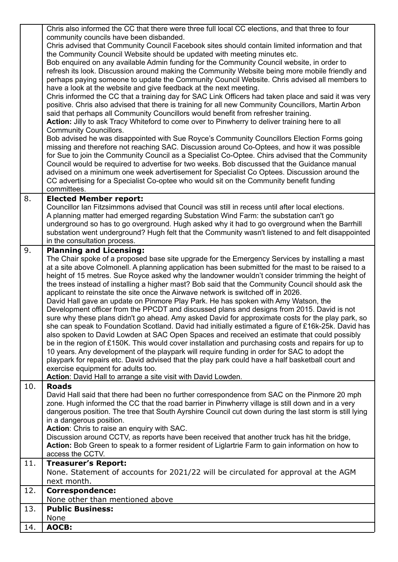|     | Chris also informed the CC that there were three full local CC elections, and that three to four                                                                                                     |
|-----|------------------------------------------------------------------------------------------------------------------------------------------------------------------------------------------------------|
|     | community councils have been disbanded.                                                                                                                                                              |
|     | Chris advised that Community Council Facebook sites should contain limited information and that                                                                                                      |
|     | the Community Council Website should be updated with meeting minutes etc.                                                                                                                            |
|     | Bob enquired on any available Admin funding for the Community Council website, in order to                                                                                                           |
|     | refresh its look. Discussion around making the Community Website being more mobile friendly and                                                                                                      |
|     | perhaps paying someone to update the Community Council Website. Chris advised all members to                                                                                                         |
|     | have a look at the website and give feedback at the next meeting.                                                                                                                                    |
|     | Chris informed the CC that a training day for SAC Link Officers had taken place and said it was very                                                                                                 |
|     | positive. Chris also advised that there is training for all new Community Councillors, Martin Arbon                                                                                                  |
|     | said that perhaps all Community Councillors would benefit from refresher training.                                                                                                                   |
|     | Action: Jilly to ask Tracy Whiteford to come over to Pinwherry to deliver training here to all                                                                                                       |
|     | <b>Community Councillors.</b><br>Bob advised he was disappointed with Sue Royce's Community Councillors Election Forms going                                                                         |
|     | missing and therefore not reaching SAC. Discussion around Co-Optees, and how it was possible                                                                                                         |
|     | for Sue to join the Community Council as a Specialist Co-Optee. Chirs advised that the Community                                                                                                     |
|     | Council would be required to advertise for two weeks. Bob discussed that the Guidance manual                                                                                                         |
|     | advised on a minimum one week advertisement for Specialist Co Optees. Discussion around the                                                                                                          |
|     | CC advertising for a Specialist Co-optee who would sit on the Community benefit funding                                                                                                              |
|     | committees.                                                                                                                                                                                          |
| 8.  | <b>Elected Member report:</b>                                                                                                                                                                        |
|     | Councillor Ian Fitzsimmons advised that Council was still in recess until after local elections.                                                                                                     |
|     | A planning matter had emerged regarding Substation Wind Farm: the substation can't go                                                                                                                |
|     | underground so has to go overground. Hugh asked why it had to go overground when the Barrhill                                                                                                        |
|     | substation went underground? Hugh felt that the Community wasn't listened to and felt disappointed                                                                                                   |
|     | in the consultation process.                                                                                                                                                                         |
| 9.  | <b>Planning and Licensing:</b>                                                                                                                                                                       |
|     | The Chair spoke of a proposed base site upgrade for the Emergency Services by installing a mast                                                                                                      |
|     | at a site above Colmonell. A planning application has been submitted for the mast to be raised to a                                                                                                  |
|     | height of 15 metres. Sue Royce asked why the landowner wouldn't consider trimming the height of<br>the trees instead of installing a higher mast? Bob said that the Community Council should ask the |
|     | applicant to reinstate the site once the Airwave network is switched off in 2026.                                                                                                                    |
|     | David Hall gave an update on Pinmore Play Park. He has spoken with Amy Watson, the                                                                                                                   |
|     | Development officer from the PPCDT and discussed plans and designs from 2015. David is not                                                                                                           |
|     | sure why these plans didn't go ahead. Amy asked David for approximate costs for the play park, so                                                                                                    |
|     | she can speak to Foundation Scotland. David had initially estimated a figure of £16k-25k. David has                                                                                                  |
|     | also spoken to David Lowden at SAC Open Spaces and received an estimate that could possibly                                                                                                          |
|     | be in the region of £150K. This would cover installation and purchasing costs and repairs for up to                                                                                                  |
|     | 10 years. Any development of the playpark will require funding in order for SAC to adopt the                                                                                                         |
|     | playpark for repairs etc. David advised that the play park could have a half basketball court and                                                                                                    |
|     | exercise equipment for adults too.                                                                                                                                                                   |
|     | Action: David Hall to arrange a site visit with David Lowden.                                                                                                                                        |
| 10. | <b>Roads</b>                                                                                                                                                                                         |
|     | David Hall said that there had been no further correspondence from SAC on the Pinmore 20 mph                                                                                                         |
|     | zone. Hugh informed the CC that the road barrier in Pinwherry village is still down and in a very                                                                                                    |
|     | dangerous position. The tree that South Ayrshire Council cut down during the last storm is still lying                                                                                               |
|     | in a dangerous position.<br>Action: Chris to raise an enquiry with SAC.                                                                                                                              |
|     | Discussion around CCTV, as reports have been received that another truck has hit the bridge,                                                                                                         |
|     | Action: Bob Green to speak to a former resident of Liglartrie Farm to gain information on how to                                                                                                     |
|     | access the CCTV.                                                                                                                                                                                     |
| 11. | <b>Treasurer's Report:</b>                                                                                                                                                                           |
|     | None. Statement of accounts for 2021/22 will be circulated for approval at the AGM                                                                                                                   |
|     | next month.                                                                                                                                                                                          |
| 12. | <b>Correspondence:</b>                                                                                                                                                                               |
|     | None other than mentioned above                                                                                                                                                                      |
| 13. | <b>Public Business:</b>                                                                                                                                                                              |
|     | None                                                                                                                                                                                                 |
| 14. | <b>AOCB:</b>                                                                                                                                                                                         |